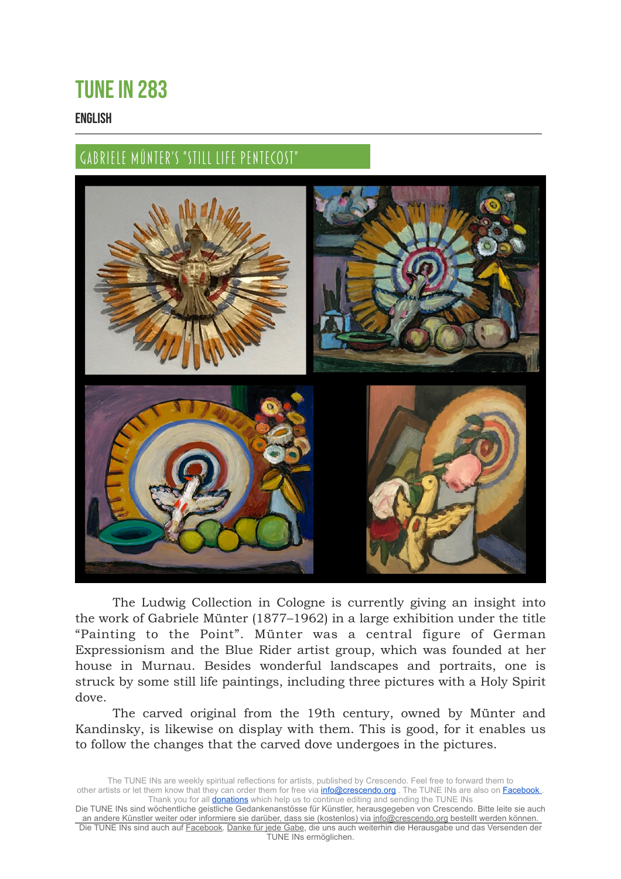# TUNE IN 283

# ENGLISH

# GABRIELE MÜNTER'S "STILL LIFE PENTECOST"



 The Ludwig Collection in Cologne is currently giving an insight into the work of Gabriele Münter (1877–1962) in a large exhibition under the title "Painting to the Point". Münter was a central figure of German Expressionism and the Blue Rider artist group, which was founded at her house in Murnau. Besides wonderful landscapes and portraits, one is struck by some still life paintings, including three pictures with a Holy Spirit dove.

 The carved original from the 19th century, owned by Münter and Kandinsky, is likewise on display with them. This is good, for it enables us to follow the changes that the carved dove undergoes in the pictures.

The TUNE INs are weekly spiritual reflections for artists, published by Crescendo. Feel free to forward them to other artists or let them know that they can order them for free via [info@crescendo.org](mailto:info@crescendo.org). The TUNE INs are also on **Facebook** Thank you for all **donations** which help us to continue editing and sending the TUNE INs

Die TUNE INs sind wöchentliche geistliche Gedankenanstösse für Künstler, herausgegeben von Crescendo. Bitte leite sie auch an andere Künstler weiter oder informiere sie darüber, dass sie (kostenlos) via [info@crescendo.org](mailto:info@crescendo.org) bestellt werden können. Die TUNE INs sind auch auf [Facebook](https://www.facebook.com/TUNEINs/). [Danke für jede Gabe](https://www.crescendo.org/de/kontakt--spenden.html), die uns auch weiterhin die Herausgabe und das Versenden der TUNE INs ermöglichen.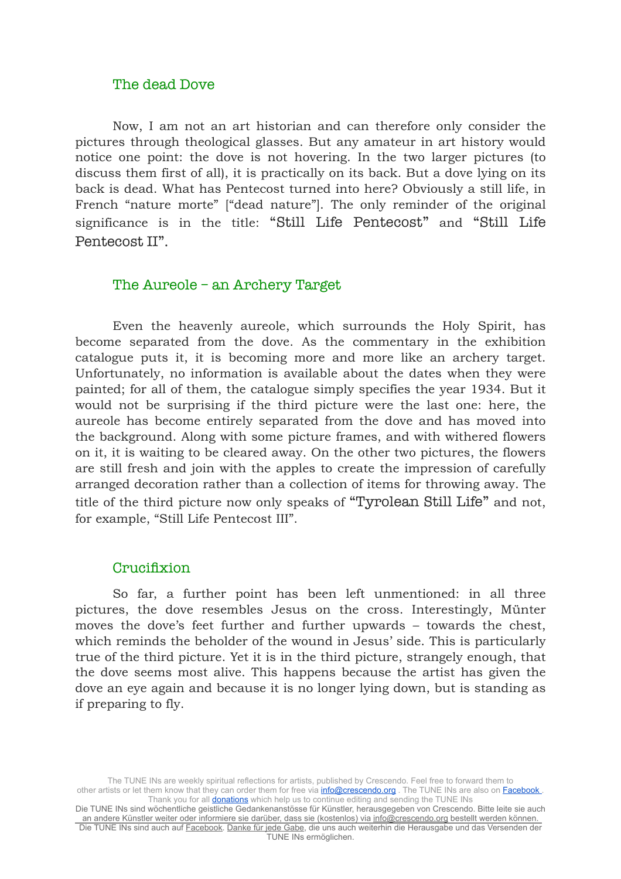#### The dead Dove

 Now, I am not an art historian and can therefore only consider the pictures through theological glasses. But any amateur in art history would notice one point: the dove is not hovering. In the two larger pictures (to discuss them first of all), it is practically on its back. But a dove lying on its back is dead. What has Pentecost turned into here? Obviously a still life, in French "nature morte" ["dead nature"]. The only reminder of the original significance is in the title: "Still Life Pentecost" and "Still Life Pentecost II".

# The Aureole – an Archery Target

 Even the heavenly aureole, which surrounds the Holy Spirit, has become separated from the dove. As the commentary in the exhibition catalogue puts it, it is becoming more and more like an archery target. Unfortunately, no information is available about the dates when they were painted; for all of them, the catalogue simply specifies the year 1934. But it would not be surprising if the third picture were the last one: here, the aureole has become entirely separated from the dove and has moved into the background. Along with some picture frames, and with withered flowers on it, it is waiting to be cleared away. On the other two pictures, the flowers are still fresh and join with the apples to create the impression of carefully arranged decoration rather than a collection of items for throwing away. The title of the third picture now only speaks of "Tyrolean Still Life" and not, for example, "Still Life Pentecost III".

# Crucifixion

 So far, a further point has been left unmentioned: in all three pictures, the dove resembles Jesus on the cross. Interestingly, Münter moves the dove's feet further and further upwards – towards the chest, which reminds the beholder of the wound in Jesus' side. This is particularly true of the third picture. Yet it is in the third picture, strangely enough, that the dove seems most alive. This happens because the artist has given the dove an eye again and because it is no longer lying down, but is standing as if preparing to fly.

The TUNE INs are weekly spiritual reflections for artists, published by Crescendo. Feel free to forward them to other artists or let them know that they can order them for free via [info@crescendo.org](mailto:info@crescendo.org). The TUNE INs are also on **Facebook**. Thank you for all **donations** which help us to continue editing and sending the TUNE INs

Die TUNE INs sind wöchentliche geistliche Gedankenanstösse für Künstler, herausgegeben von Crescendo. Bitte leite sie auch an andere Künstler weiter oder informiere sie darüber, dass sie (kostenlos) via [info@crescendo.org](mailto:info@crescendo.org) bestellt werden können. Die TUNE INs sind auch auf [Facebook](https://www.facebook.com/TUNEINs/). [Danke für jede Gabe](https://www.crescendo.org/de/kontakt--spenden.html), die uns auch weiterhin die Herausgabe und das Versenden der TUNE INs ermöglichen.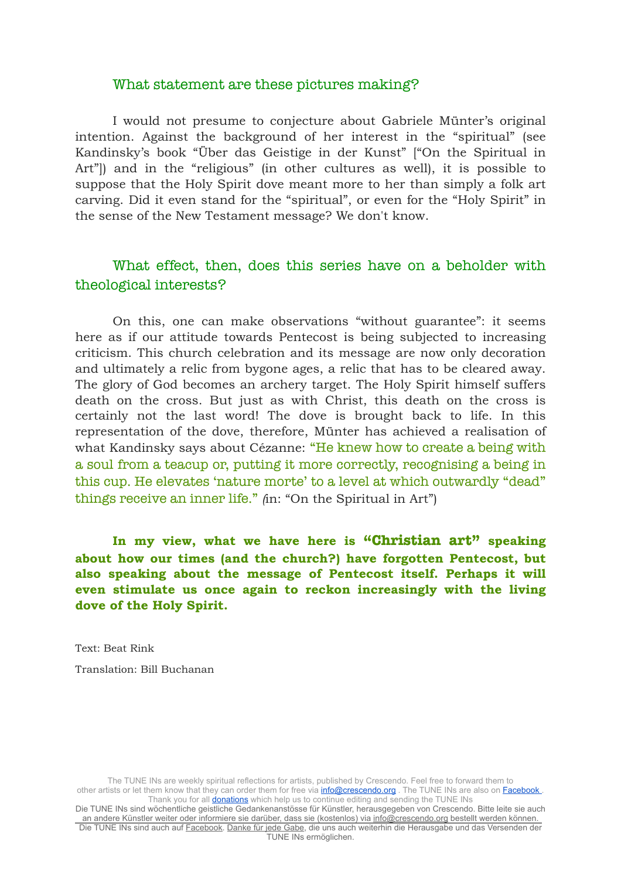#### What statement are these pictures making?

 I would not presume to conjecture about Gabriele Münter's original intention. Against the background of her interest in the "spiritual" (see Kandinsky's book "Über das Geistige in der Kunst" ["On the Spiritual in Art"]) and in the "religious" (in other cultures as well), it is possible to suppose that the Holy Spirit dove meant more to her than simply a folk art carving. Did it even stand for the "spiritual", or even for the "Holy Spirit" in the sense of the New Testament message? We don't know.

# What effect, then, does this series have on a beholder with theological interests?

 On this, one can make observations "without guarantee": it seems here as if our attitude towards Pentecost is being subjected to increasing criticism. This church celebration and its message are now only decoration and ultimately a relic from bygone ages, a relic that has to be cleared away. The glory of God becomes an archery target. The Holy Spirit himself suffers death on the cross. But just as with Christ, this death on the cross is certainly not the last word! The dove is brought back to life. In this representation of the dove, therefore, Münter has achieved a realisation of what Kandinsky says about Cézanne: "He knew how to create a being with a soul from a teacup or, putting it more correctly, recognising a being in this cup. He elevates 'nature morte' to a level at which outwardly "dead" things receive an inner life." *(*in: "On the Spiritual in Art")

**In my view, what we have here is "Christian art" speaking about how our times (and the church?) have forgotten Pentecost, but also speaking about the message of Pentecost itself. Perhaps it will even stimulate us once again to reckon increasingly with the living dove of the Holy Spirit.**

Text: Beat Rink

Translation: Bill Buchanan

The TUNE INs are weekly spiritual reflections for artists, published by Crescendo. Feel free to forward them to other artists or let them know that they can order them for free via [info@crescendo.org](mailto:info@crescendo.org). The TUNE INs are also on **Facebook**. Thank you for all **donations** which help us to continue editing and sending the TUNE INs

Die TUNE INs sind wöchentliche geistliche Gedankenanstösse für Künstler, herausgegeben von Crescendo. Bitte leite sie auch an andere Künstler weiter oder informiere sie darüber, dass sie (kostenlos) via [info@crescendo.org](mailto:info@crescendo.org) bestellt werden können. Die TUNE INs sind auch auf [Facebook](https://www.facebook.com/TUNEINs/). [Danke für jede Gabe](https://www.crescendo.org/de/kontakt--spenden.html), die uns auch weiterhin die Herausgabe und das Versenden der TUNE INs ermöglichen.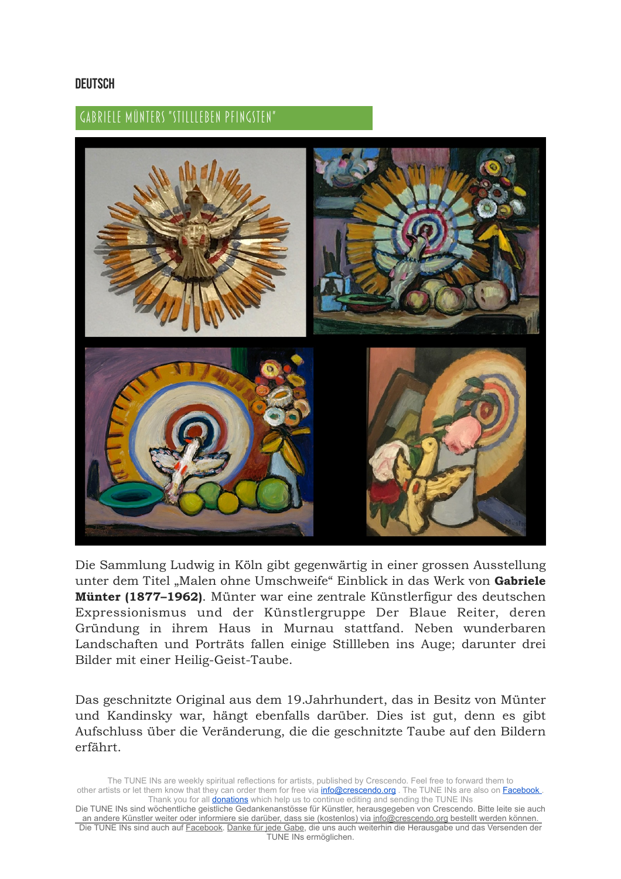# **DEUTSCH**

# GABRIELE MÜNTERS "STILLLEBEN PFINGSTEN"



Die Sammlung Ludwig in Köln gibt gegenwärtig in einer grossen Ausstellung unter dem Titel "Malen ohne Umschweife" Einblick in das Werk von **Gabriele Münter (1877–1962)**. Münter war eine zentrale Künstlerfigur des deutschen Expressionismus und der Künstlergruppe Der Blaue Reiter, deren Gründung in ihrem Haus in Murnau stattfand. Neben wunderbaren Landschaften und Porträts fallen einige Stillleben ins Auge; darunter drei Bilder mit einer Heilig-Geist-Taube.

Das geschnitzte Original aus dem 19.Jahrhundert, das in Besitz von Münter und Kandinsky war, hängt ebenfalls darüber. Dies ist gut, denn es gibt Aufschluss über die Veränderung, die die geschnitzte Taube auf den Bildern erfährt.

The TUNE INs are weekly spiritual reflections for artists, published by Crescendo. Feel free to forward them to other artists or let them know that they can order them for free via [info@crescendo.org](mailto:info@crescendo.org). The TUNE INs are also on **Facebook** Thank you for all **donations** which help us to continue editing and sending the TUNE INs

Die TUNE INs sind wöchentliche geistliche Gedankenanstösse für Künstler, herausgegeben von Crescendo. Bitte leite sie auch an andere Künstler weiter oder informiere sie darüber, dass sie (kostenlos) via [info@crescendo.org](mailto:info@crescendo.org) bestellt werden können. Die TUNE INs sind auch auf [Facebook](https://www.facebook.com/TUNEINs/). [Danke für jede Gabe](https://www.crescendo.org/de/kontakt--spenden.html), die uns auch weiterhin die Herausgabe und das Versenden der TUNE INs ermöglichen.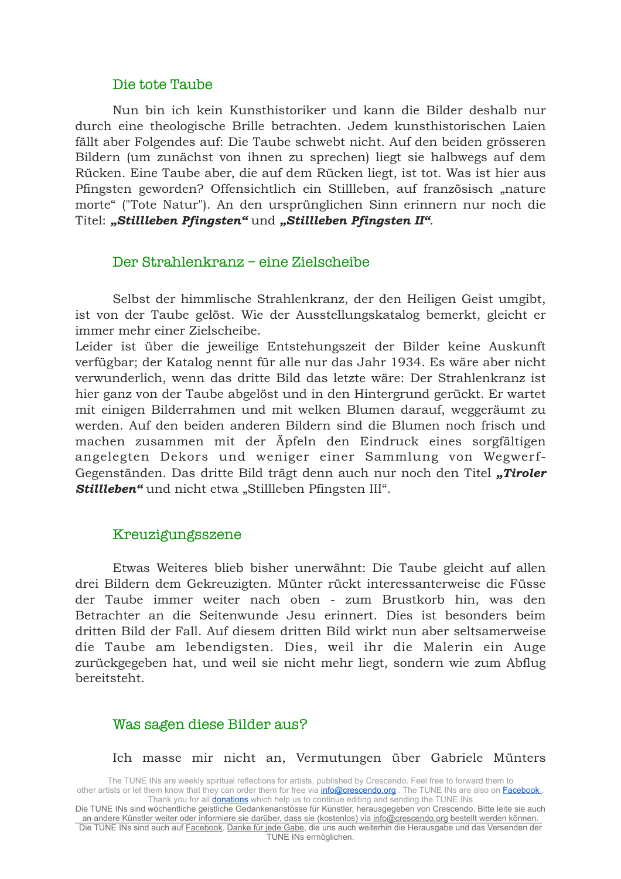#### Die tote Taube

 Nun bin ich kein Kunsthistoriker und kann die Bilder deshalb nur durch eine theologische Brille betrachten. Jedem kunsthistorischen Laien fällt aber Folgendes auf: Die Taube schwebt nicht. Auf den beiden grösseren Bildern (um zunächst von ihnen zu sprechen) liegt sie halbwegs auf dem Rücken. Eine Taube aber, die auf dem Rücken liegt, ist tot. Was ist hier aus Pfingsten geworden? Offensichtlich ein Stillleben, auf französisch "nature morte" ("Tote Natur"). An den ursprünglichen Sinn erinnern nur noch die Titel: "Stillleben Pfingsten" und "Stillleben Pfingsten II".

# Der Strahlenkranz – eine Zielscheibe

Selbst der himmlische Strahlenkranz, der den Heiligen Geist umgibt, ist von der Taube gelöst. Wie der Ausstellungskatalog bemerkt, gleicht er immer mehr einer Zielscheibe.

Leider ist über die jeweilige Entstehungszeit der Bilder keine Auskunft verfügbar; der Katalog nennt für alle nur das Jahr 1934. Es wäre aber nicht verwunderlich, wenn das dritte Bild das letzte wäre: Der Strahlenkranz ist hier ganz von der Taube abgelöst und in den Hintergrund gerückt. Er wartet mit einigen Bilderrahmen und mit welken Blumen darauf, weggeräumt zu werden. Auf den beiden anderen Bildern sind die Blumen noch frisch und machen zusammen mit der Äpfeln den Eindruck eines sorgfältigen angelegten Dekors und weniger einer Sammlung von Wegwerf-Gegenständen. Das dritte Bild trägt denn auch nur noch den Titel *"Tiroler*  **Stillleben"** und nicht etwa "Stillleben Pfingsten III".

# Kreuzigungsszene

Etwas Weiteres blieb bisher unerwähnt: Die Taube gleicht auf allen drei Bildern dem Gekreuzigten. Münter rückt interessanterweise die Füsse der Taube immer weiter nach oben - zum Brustkorb hin, was den Betrachter an die Seitenwunde Jesu erinnert. Dies ist besonders beim dritten Bild der Fall. Auf diesem dritten Bild wirkt nun aber seltsamerweise die Taube am lebendigsten. Dies, weil ihr die Malerin ein Auge zurückgegeben hat, und weil sie nicht mehr liegt, sondern wie zum Abflug bereitsteht.

# Was sagen diese Bilder aus?

Ich masse mir nicht an, Vermutungen über Gabriele Münters

The TUNE INs are weekly spiritual reflections for artists, published by Crescendo. Feel free to forward them to other artists or let them know that they can order them for free via **[info@crescendo.org](mailto:info@crescendo.org)** . The TUNE INs are also on **Facebook**. Thank you for all **donations** which help us to continue editing and sending the TUNE INs

Die TUNE INs sind wöchentliche geistliche Gedankenanstösse für Künstler, herausgegeben von Crescendo. Bitte leite sie auch an andere Künstler weiter oder informiere sie darüber, dass sie (kostenlos) via [info@crescendo.org](mailto:info@crescendo.org) bestellt werden können. Die TUNE INs sind auch auf [Facebook](https://www.facebook.com/TUNEINs/). [Danke für jede Gabe](https://www.crescendo.org/de/kontakt--spenden.html), die uns auch weiterhin die Herausgabe und das Versenden der TUNE INs ermöglichen.